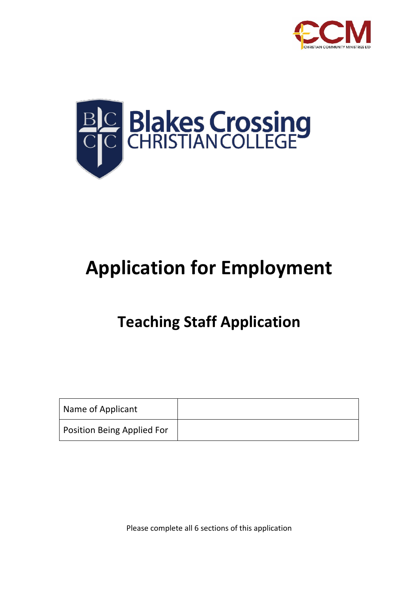



# **Application for Employment**

## **Teaching Staff Application**

| Name of Applicant          |  |
|----------------------------|--|
| Position Being Applied For |  |

Please complete all 6 sections of this application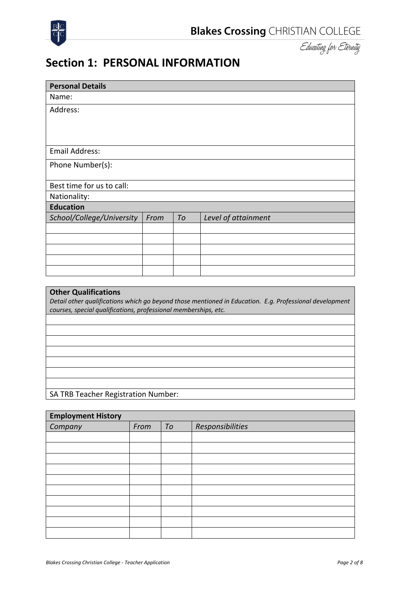



### **Section 1: PERSONAL INFORMATION**

| <b>Personal Details</b>                                                                                                                                                    |      |    |                     |  |  |
|----------------------------------------------------------------------------------------------------------------------------------------------------------------------------|------|----|---------------------|--|--|
| Name:                                                                                                                                                                      |      |    |                     |  |  |
| Address:                                                                                                                                                                   |      |    |                     |  |  |
|                                                                                                                                                                            |      |    |                     |  |  |
|                                                                                                                                                                            |      |    |                     |  |  |
|                                                                                                                                                                            |      |    |                     |  |  |
| <b>Email Address:</b>                                                                                                                                                      |      |    |                     |  |  |
| Phone Number(s):                                                                                                                                                           |      |    |                     |  |  |
|                                                                                                                                                                            |      |    |                     |  |  |
| Best time for us to call:                                                                                                                                                  |      |    |                     |  |  |
| Nationality:                                                                                                                                                               |      |    |                     |  |  |
| <b>Education</b>                                                                                                                                                           |      |    |                     |  |  |
| School/College/University                                                                                                                                                  | From | To | Level of attainment |  |  |
|                                                                                                                                                                            |      |    |                     |  |  |
|                                                                                                                                                                            |      |    |                     |  |  |
|                                                                                                                                                                            |      |    |                     |  |  |
|                                                                                                                                                                            |      |    |                     |  |  |
|                                                                                                                                                                            |      |    |                     |  |  |
|                                                                                                                                                                            |      |    |                     |  |  |
| <b>Other Qualifications</b>                                                                                                                                                |      |    |                     |  |  |
| Detail other qualifications which go beyond those mentioned in Education. E.g. Professional development<br>courses, special qualifications, professional memberships, etc. |      |    |                     |  |  |
|                                                                                                                                                                            |      |    |                     |  |  |
|                                                                                                                                                                            |      |    |                     |  |  |

SA TRB Teacher Registration Number:

| <b>Employment History</b> |      |    |                  |  |  |
|---------------------------|------|----|------------------|--|--|
| Company                   | From | To | Responsibilities |  |  |
|                           |      |    |                  |  |  |
|                           |      |    |                  |  |  |
|                           |      |    |                  |  |  |
|                           |      |    |                  |  |  |
|                           |      |    |                  |  |  |
|                           |      |    |                  |  |  |
|                           |      |    |                  |  |  |
|                           |      |    |                  |  |  |
|                           |      |    |                  |  |  |
|                           |      |    |                  |  |  |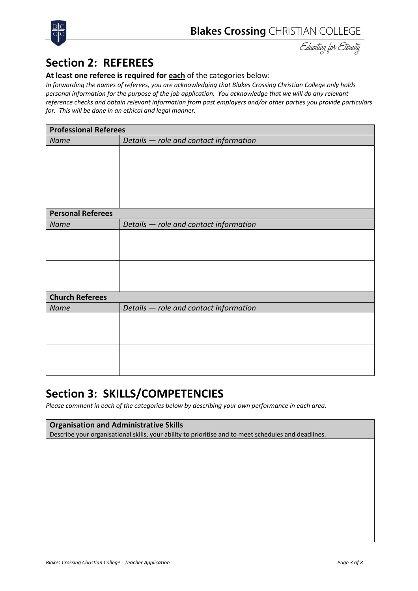

Educating for Eternity

### **Section 2: REFEREES**

#### **At least one referee is required for each** of the categories below:

*In forwarding the names of referees, you are acknowledging that Blakes Crossing Christian College only holds personal information for the purpose of the job application. You acknowledge that we will do any relevant reference checks and obtain relevant information from past employers and/or other parties you provide particulars for. This will be done in an ethical and legal manner.*

| <b>Professional Referees</b> |                                        |  |
|------------------------------|----------------------------------------|--|
| Name                         | Details - role and contact information |  |
|                              |                                        |  |
|                              |                                        |  |
|                              |                                        |  |
|                              |                                        |  |
|                              |                                        |  |
|                              |                                        |  |
| <b>Personal Referees</b>     |                                        |  |
| Name                         | Details - role and contact information |  |
|                              |                                        |  |
|                              |                                        |  |
|                              |                                        |  |
|                              |                                        |  |
|                              |                                        |  |
|                              |                                        |  |
| <b>Church Referees</b>       |                                        |  |
| Name                         | Details - role and contact information |  |
|                              |                                        |  |
|                              |                                        |  |
|                              |                                        |  |
|                              |                                        |  |
|                              |                                        |  |
|                              |                                        |  |

### **Section 3: SKILLS/COMPETENCIES**

*Please comment in each of the categories below by describing your own performance in each area.*

#### **Organisation and Administrative Skills**

Describe your organisational skills, your ability to prioritise and to meet schedules and deadlines.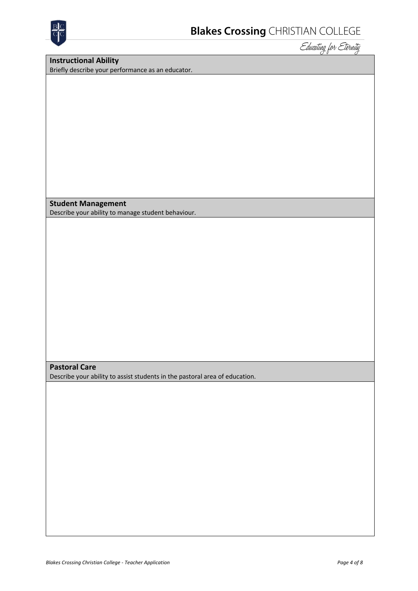

**Instructional Ability** Briefly describe your performance as an educator.

**Student Management**

Describe your ability to manage student behaviour.

#### **Pastoral Care**

Describe your ability to assist students in the pastoral area of education.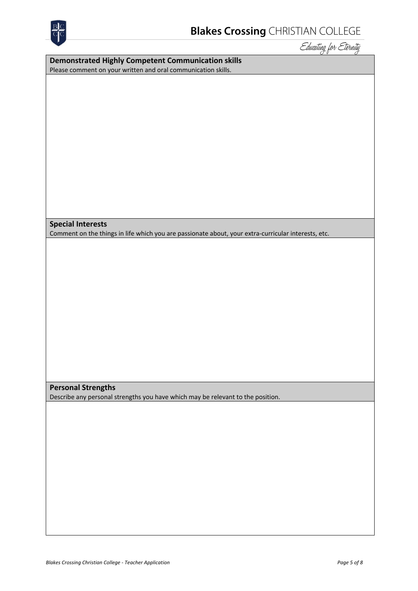

| <b>Demonstrated Highly Competent Communication skills</b>     |  |  |  |
|---------------------------------------------------------------|--|--|--|
| Please comment on your written and oral communication skills. |  |  |  |

#### **Special Interests**

Comment on the things in life which you are passionate about, your extra-curricular interests, etc.

#### **Personal Strengths**

Describe any personal strengths you have which may be relevant to the position.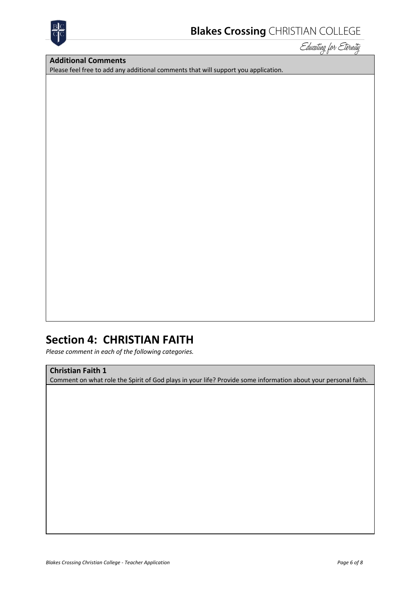

#### **Additional Comments**

Please feel free to add any additional comments that will support you application.

### **Section 4: CHRISTIAN FAITH**

*Please comment in each of the following categories.*

#### **Christian Faith 1**

Comment on what role the Spirit of God plays in your life? Provide some information about your personal faith.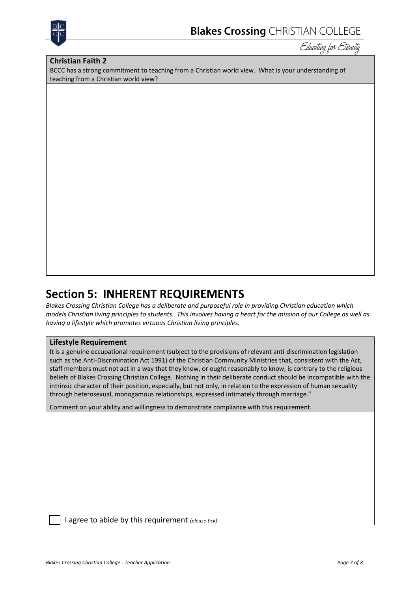

#### **Christian Faith 2**

BCCC has a strong commitment to teaching from a Christian world view. What is your understanding of teaching from a Christian world view?

### **Section 5: INHERENT REQUIREMENTS**

*Blakes Crossing Christian College has a deliberate and purposeful role in providing Christian education which models Christian living principles to students. This involves having a heart for the mission of our College as well as having a lifestyle which promotes virtuous Christian living principles.*

#### **Lifestyle Requirement**

It is a genuine occupational requirement (subject to the provisions of relevant anti-discrimination legislation such as the Anti-Discrimination Act 1991) of the Christian Community Ministries that, consistent with the Act, staff members must not act in a way that they know, or ought reasonably to know, is contrary to the religious beliefs of Blakes Crossing Christian College. Nothing in their deliberate conduct should be incompatible with the intrinsic character of their position, especially, but not only, in relation to the expression of human sexuality through heterosexual, monogamous relationships, expressed intimately through marriage."

Comment on your ability and willingness to demonstrate compliance with this requirement.

q I agree to abide by this requirement *(please tick)*